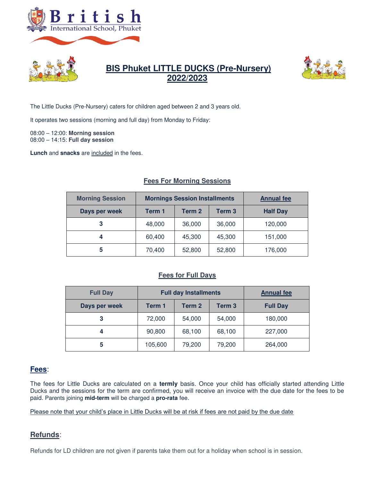



## **BIS Phuket LITTLE DUCKS (Pre-Nursery) 2022/2023**



The Little Ducks (Pre-Nursery) caters for children aged between 2 and 3 years old.

It operates two sessions (morning and full day) from Monday to Friday:

08:00 – 12:00: **Morning session**  08:00 – 14:15: **Full day session**

**Lunch** and **snacks** are included in the fees.

# Morning Session | Mornings Session Installments | Annual fee Days per week Term 1 Term 2 Term 3 Half Day **3** | 48,000 | 36,000 | 36,000 | 120,000 **4** 60,400 45,300 45,300 151,000 **5** 70,400 52,800 52,800 176,000

#### **Fees For Morning Sessions**

### **Fees for Full Days**

| <b>Full Day</b> | <b>Full day Installments</b> |                   |                   | <b>Annual fee</b> |
|-----------------|------------------------------|-------------------|-------------------|-------------------|
| Days per week   | Term 1                       | Term <sub>2</sub> | Term <sub>3</sub> | <b>Full Day</b>   |
| 3               | 72,000                       | 54,000            | 54,000            | 180,000           |
| 4               | 90,800                       | 68,100            | 68,100            | 227,000           |
| 5               | 105,600                      | 79,200            | 79,200            | 264,000           |

### **Fees**:

The fees for Little Ducks are calculated on a **termly** basis. Once your child has officially started attending Little Ducks and the sessions for the term are confirmed, you will receive an invoice with the due date for the fees to be paid. Parents joining **mid-term** will be charged a **pro-rata** fee.

Please note that your child's place in Little Ducks will be at risk if fees are not paid by the due date

## **Refunds**:

Refunds for LD children are not given if parents take them out for a holiday when school is in session.